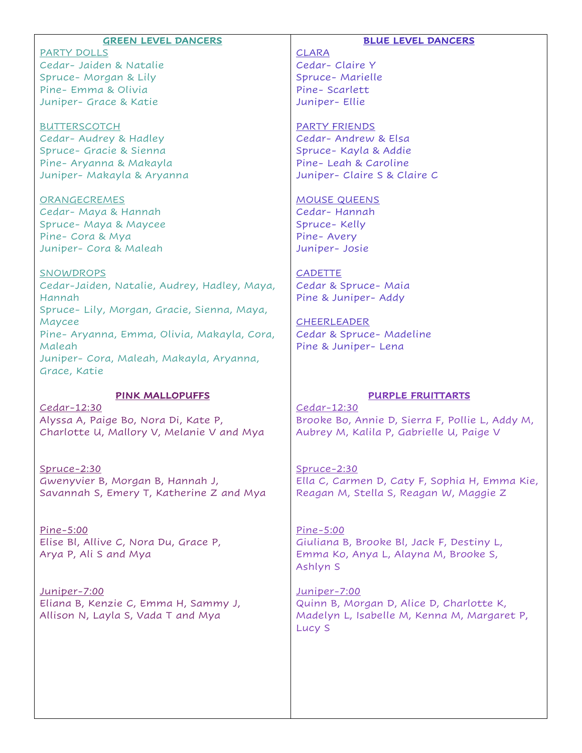|                                                                              | <b>BLUE LEVEL DANCERS</b>                                                               |
|------------------------------------------------------------------------------|-----------------------------------------------------------------------------------------|
| <b>GREEN LEVEL DANCERS</b>                                                   |                                                                                         |
| <b>PARTY DOLLS</b><br>Cedar- Jaiden & Natalie                                | <b>CLARA</b><br>Cedar-Claire Y                                                          |
|                                                                              |                                                                                         |
| Spruce- Morgan & Lily<br>Pine-Emma & Olivia                                  | Spruce- Marielle<br>Pine-Scarlett                                                       |
| Juniper- Grace & Katie                                                       | Juniper- Ellie                                                                          |
|                                                                              |                                                                                         |
| <b>BUTTERSCOTCH</b>                                                          | <b>PARTY FRIENDS</b>                                                                    |
| Cedar-Audrey & Hadley                                                        | Cedar-Andrew & Elsa                                                                     |
| Spruce- Gracie & Sienna                                                      | Spruce- Kayla & Addie                                                                   |
| Pine- Aryanna & Makayla                                                      | Pine- Leah & Caroline                                                                   |
| Juniper- Makayla & Aryanna                                                   | Juniper- Claire S & Claire C                                                            |
|                                                                              |                                                                                         |
| ORANGECREMES                                                                 | <b>MOUSE QUEENS</b>                                                                     |
| Cedar- Maya & Hannah                                                         | Cedar-Hannah                                                                            |
| Spruce- Maya & Maycee                                                        | Spruce- Kelly                                                                           |
| Pine- Cora & Mya                                                             | Pine-Avery                                                                              |
| Juniper- Cora & Maleah                                                       | Juniper- Josie                                                                          |
|                                                                              |                                                                                         |
| SNOWDROPS                                                                    | <b>CADETTE</b>                                                                          |
| Cedar-Jaiden, Natalie, Audrey, Hadley, Maya,                                 | Cedar & Spruce-Maia                                                                     |
| Hannah                                                                       | Pine & Juniper- Addy                                                                    |
| Spruce- Lily, Morgan, Gracie, Sienna, Maya,                                  |                                                                                         |
| Maycee                                                                       | <b>CHEERLEADER</b>                                                                      |
| Pine- Aryanna, Emma, Olivia, Makayla, Cora,                                  | Cedar & Spruce- Madeline                                                                |
| Maleah                                                                       | Pine & Juniper- Lena                                                                    |
| Juniper- Cora, Maleah, Makayla, Aryanna,                                     |                                                                                         |
| Grace, Katie                                                                 |                                                                                         |
|                                                                              |                                                                                         |
| PINK MALLOPUFFS                                                              | <b>PURPLE FRUITTARTS</b>                                                                |
| Cedar-12:30                                                                  | Cedar-12:30                                                                             |
| Alyssa A, Paige Bo, Nora Di, Kate P,                                         | Brooke Bo, Annie D, Sierra F, Pollie L, Addy M,                                         |
| Charlotte U, Mallory V, Melanie V and Mya                                    | Aubrey M, Kalila P, Gabrielle U, Paige V                                                |
|                                                                              |                                                                                         |
|                                                                              |                                                                                         |
| Spruce-2:30                                                                  | Spruce-2:30                                                                             |
| Gwenyvier B, Morgan B, Hannah J,<br>Savannah S, Emery T, Katherine Z and Mya | Ella C, Carmen D, Caty F, Sophia H, Emma Kie,<br>Reagan M, Stella S, Reagan W, Maggie Z |
|                                                                              |                                                                                         |
|                                                                              |                                                                                         |
| Pine-5:00                                                                    | Pine-5:00                                                                               |
| Elise Bl, Allive C, Nora Du, Grace P,                                        | Giuliana B, Brooke Bl, Jack F, Destiny L,                                               |
| Arya P, Ali S and Mya                                                        | Emma Ko, Anya L, Alayna M, Brooke S,                                                    |
|                                                                              | Ashlyn S                                                                                |
|                                                                              |                                                                                         |
| <u>Juniper-7:00</u>                                                          | <u>Juniper-7:00</u>                                                                     |
| Eliana B, Kenzie C, Emma H, Sammy J,                                         | Quinn B, Morgan D, Alice D, Charlotte K,                                                |
| Allison N, Layla S, Vada T and Mya                                           | Madelyn L, Isabelle M, Kenna M, Margaret P,                                             |
|                                                                              | Lucy S                                                                                  |
|                                                                              |                                                                                         |
|                                                                              |                                                                                         |
|                                                                              |                                                                                         |